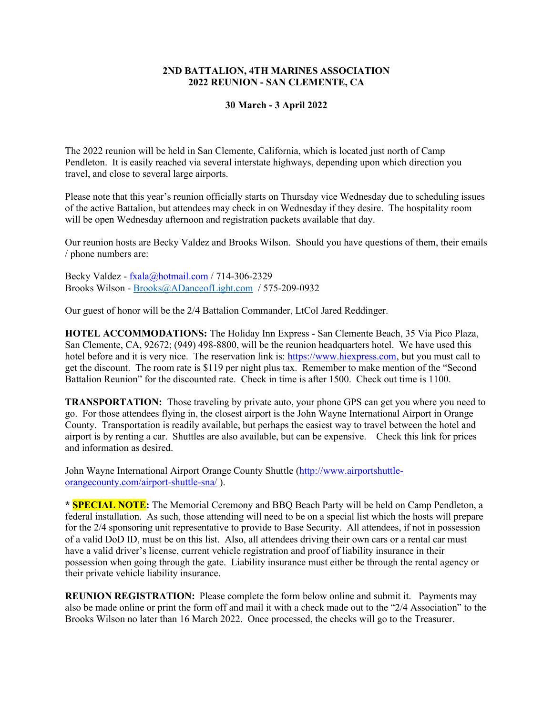#### **2ND BATTALION, 4TH MARINES ASSOCIATION 2022 REUNION - SAN CLEMENTE, CA**

#### **30 March - 3 April 2022**

The 2022 reunion will be held in San Clemente, California, which is located just north of Camp Pendleton. It is easily reached via several interstate highways, depending upon which direction you travel, and close to several large airports.

Please note that this year's reunion officially starts on Thursday vice Wednesday due to scheduling issues of the active Battalion, but attendees may check in on Wednesday if they desire. The hospitality room will be open Wednesday afternoon and registration packets available that day.

Our reunion hosts are Becky Valdez and Brooks Wilson. Should you have questions of them, their emails / phone numbers are:

Becky Valdez - [fxala@hotmail.com](mailto:fxala@hotmail.com) / 714-306-2329 Brooks Wilson - [Brooks@ADanceofLight.com](mailto:Brooks@ADanceofLight.com) / 575-209-0932

Our guest of honor will be the 2/4 Battalion Commander, LtCol Jared Reddinger.

**HOTEL ACCOMMODATIONS:** The Holiday Inn Express - San Clemente Beach, 35 Via Pico Plaza, San Clemente, CA, 92672; (949) 498-8800, will be the reunion headquarters hotel. We have used this hotel before and it is very nice. The reservation link is: [https://www.hiexpress.com,](https://www.hiexpress.com/) but you must call to get the discount. The room rate is \$119 per night plus tax. Remember to make mention of the "Second Battalion Reunion" for the discounted rate. Check in time is after 1500. Check out time is 1100.

**TRANSPORTATION:** Those traveling by private auto, your phone GPS can get you where you need to go. For those attendees flying in, the closest airport is the John Wayne International Airport in Orange County. Transportation is readily available, but perhaps the easiest way to travel between the hotel and airport is by renting a car. Shuttles are also available, but can be expensive. Check this link for prices and information as desired.

John Wayne International Airport Orange County Shuttle [\(http://www.airportshuttle]((http:/www.airportshuttle-orangecounty.com/airport-shuttle-sna/)[orangecounty.com/airport-shuttle-sna/]((http:/www.airportshuttle-orangecounty.com/airport-shuttle-sna/) ).

**\* SPECIAL NOTE:** The Memorial Ceremony and BBQ Beach Party will be held on Camp Pendleton, a federal installation. As such, those attending will need to be on a special list which the hosts will prepare for the 2/4 sponsoring unit representative to provide to Base Security. All attendees, if not in possession of a valid DoD ID, must be on this list. Also, all attendees driving their own cars or a rental car must have a valid driver's license, current vehicle registration and proof of liability insurance in their possession when going through the gate. Liability insurance must either be through the rental agency or their private vehicle liability insurance.

**REUNION REGISTRATION:** Please complete the form below online and submit it. Payments may also be made online or print the form off and mail it with a check made out to the "2/4 Association" to the Brooks Wilson no later than 16 March 2022. Once processed, the checks will go to the Treasurer.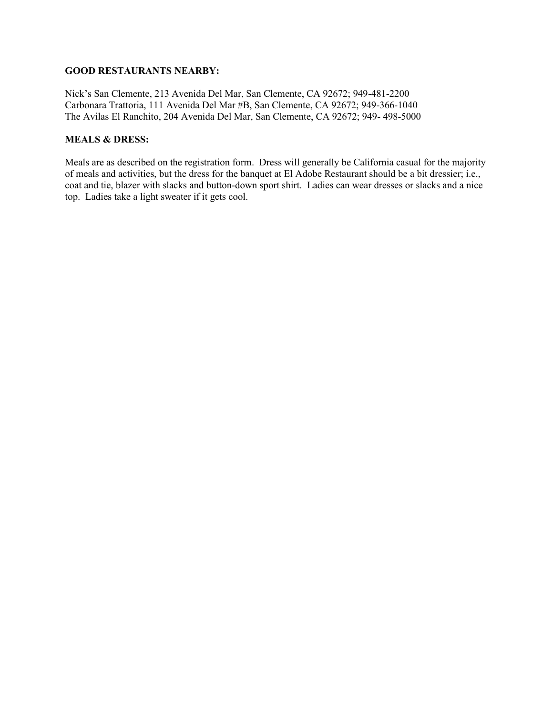#### **GOOD RESTAURANTS NEARBY:**

Nick's San Clemente, 213 Avenida Del Mar, San Clemente, CA 92672; 949-481-2200 Carbonara Trattoria, 111 Avenida Del Mar #B, San Clemente, CA 92672; 949-366-1040 The Avilas El Ranchito, 204 Avenida Del Mar, San Clemente, CA 92672; 949- 498-5000

# **MEALS & DRESS:**

Meals are as described on the registration form. Dress will generally be California casual for the majority of meals and activities, but the dress for the banquet at El Adobe Restaurant should be a bit dressier; i.e., coat and tie, blazer with slacks and button-down sport shirt. Ladies can wear dresses or slacks and a nice top. Ladies take a light sweater if it gets cool.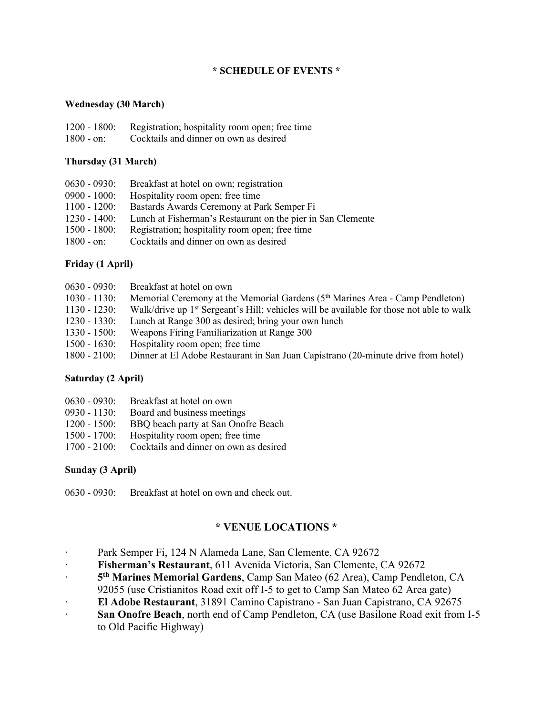# **\* SCHEDULE OF EVENTS \***

## **Wednesday (30 March)**

| $1200 - 1800$ : | Registration; hospitality room open; free time |
|-----------------|------------------------------------------------|
| $1800 - on:$    | Cocktails and dinner on own as desired         |

### **Thursday (31 March)**

| $0630 - 0930:$  | Breakfast at hotel on own; registration                     |
|-----------------|-------------------------------------------------------------|
| $0900 - 1000:$  | Hospitality room open; free time                            |
| $1100 - 1200$ : | Bastards Awards Ceremony at Park Semper Fi                  |
| $1230 - 1400$ : | Lunch at Fisherman's Restaurant on the pier in San Clemente |
| $1500 - 1800$ : | Registration; hospitality room open; free time              |
| $1800 - on:$    | Cocktails and dinner on own as desired                      |

# **Friday (1 April)**

| $0630 - 0930:$  | Breakfast at hotel on own                                                                            |
|-----------------|------------------------------------------------------------------------------------------------------|
| $1030 - 1130$ : | Memorial Ceremony at the Memorial Gardens $(5th$ Marines Area - Camp Pendleton)                      |
| $1130 - 1230$ : | Walk/drive up 1 <sup>st</sup> Sergeant's Hill; vehicles will be available for those not able to walk |
| $1230 - 1330$ : | Lunch at Range 300 as desired; bring your own lunch                                                  |
| $1330 - 1500$ : | Weapons Firing Familiarization at Range 300                                                          |
| $1500 - 1630$ : | Hospitality room open; free time                                                                     |
| $1800 - 2100$ : | Dinner at El Adobe Restaurant in San Juan Capistrano (20-minute drive from hotel)                    |

### **Saturday (2 April)**

| $0630 - 0930$ : | Breakfast at hotel on own              |
|-----------------|----------------------------------------|
| $0930 - 1130$ : | Board and business meetings            |
| $1200 - 1500$ : | BBQ beach party at San Onofre Beach    |
| $1500 - 1700$ : | Hospitality room open; free time       |
| $1700 - 2100$ : | Cocktails and dinner on own as desired |

# **Sunday (3 April)**

0630 - 0930: Breakfast at hotel on own and check out.

# **\* VENUE LOCATIONS \***

- ∙ Park Semper Fi, 124 N Alameda Lane, San Clemente, CA 92672
- ∙ **Fisherman's Restaurant**, 611 Avenida Victoria, San Clemente, CA 92672
- ∙ **5 th Marines Memorial Gardens**, Camp San Mateo (62 Area), Camp Pendleton, CA
- 92055 (use Cristianitos Road exit off I-5 to get to Camp San Mateo 62 Area gate)
- ∙ **El Adobe Restaurant**, 31891 Camino Capistrano San Juan Capistrano, CA 92675
- ∙ **San Onofre Beach**, north end of Camp Pendleton, CA (use Basilone Road exit from I-5 to Old Pacific Highway)